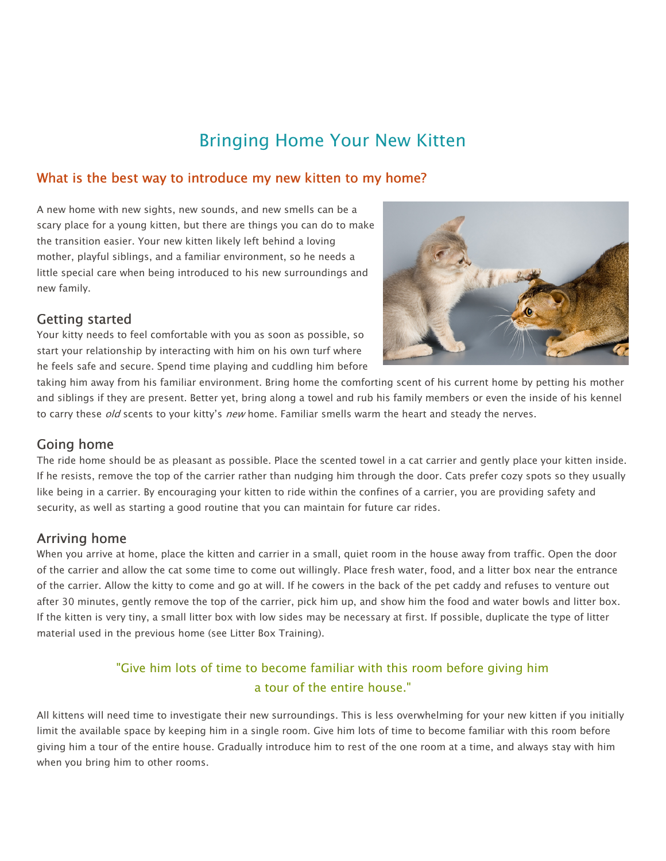# Bringing Home Your New Kitten

## What is the best way to introduce my new kitten to my home?

A new home with new sights, new sounds, and new smells can be a scary place for a young kitten, but there are things you can do to make the transition easier. Your new kitten likely left behind a loving mother, playful siblings, and a familiar environment, so he needs a little special care when being introduced to his new surroundings and new family.

## Getting started

Your kitty needs to feel comfortable with you as soon as possible, so start your relationship by interacting with him on his own turf where he feels safe and secure. Spend time playing and cuddling him before



taking him away from his familiar environment. Bring home the comforting scent of his current home by petting his mother and siblings if they are present. Better yet, bring along a towel and rub his family members or even the inside of his kennel to carry these *old* scents to your kitty's *new* home. Familiar smells warm the heart and steady the nerves.

## Going home

The ride home should be as pleasant as possible. Place the scented towel in a cat carrier and gently place your kitten inside. If he resists, remove the top of the carrier rather than nudging him through the door. Cats prefer cozy spots so they usually like being in a carrier. By encouraging your kitten to ride within the confines of a carrier, you are providing safety and security, as well as starting a good routine that you can maintain for future car rides.

## Arriving home

When you arrive at home, place the kitten and carrier in a small, quiet room in the house away from traffic. Open the door of the carrier and allow the cat some time to come out willingly. Place fresh water, food, and a litter box near the entrance of the carrier. Allow the kitty to come and go at will. If he cowers in the back of the pet caddy and refuses to venture out after 30 minutes, gently remove the top of the carrier, pick him up, and show him the food and water bowls and litter box. If the kitten is very tiny, a small litter box with low sides may be necessary at first. If possible, duplicate the type of litter material used in the previous home (see Litter Box Training).

# "Give him lots of time to become familiar with this room before giving him a tour of the entire house."

All kittens will need time to investigate their new surroundings. This is less overwhelming for your new kitten if you initially limit the available space by keeping him in a single room. Give him lots of time to become familiar with this room before giving him a tour of the entire house. Gradually introduce him to rest of the one room at a time, and always stay with him when you bring him to other rooms.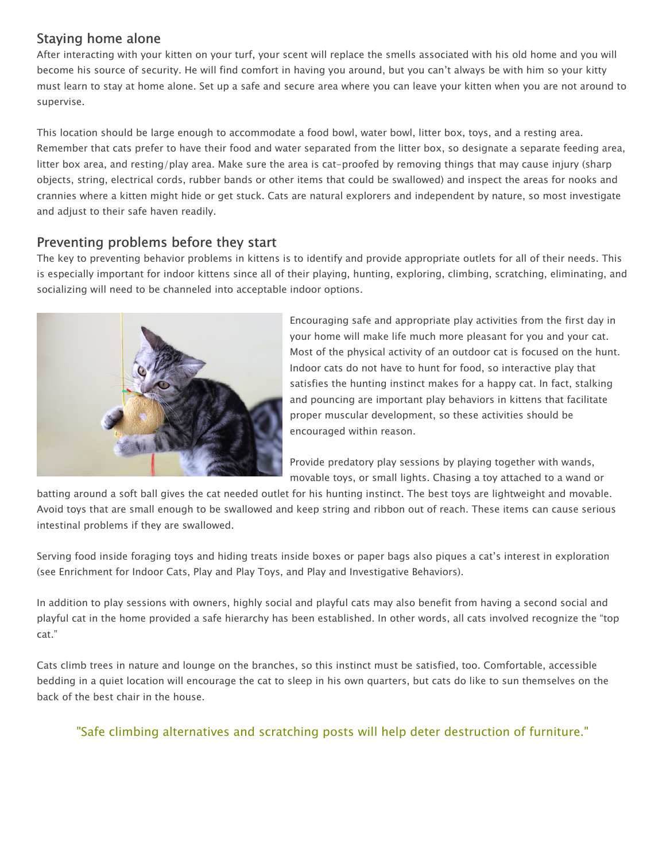# Staying home alone

After interacting with your kitten on your turf, your scent will replace the smells associated with his old home and you will become his source of security. He will find comfort in having you around, but you can't always be with him so your kitty must learn to stay at home alone. Set up a safe and secure area where you can leave your kitten when you are not around to supervise.

This location should be large enough to accommodate a food bowl, water bowl, litter box, toys, and a resting area. Remember that cats prefer to have their food and water separated from the litter box, so designate a separate feeding area, litter box area, and resting/play area. Make sure the area is cat-proofed by removing things that may cause injury (sharp objects, string, electrical cords, rubber bands or other items that could be swallowed) and inspect the areas for nooks and crannies where a kitten might hide or get stuck. Cats are natural explorers and independent by nature, so most investigate and adjust to their safe haven readily.

## Preventing problems before they start

The key to preventing behavior problems in kittens is to identify and provide appropriate outlets for all of their needs. This is especially important for indoor kittens since all of their playing, hunting, exploring, climbing, scratching, eliminating, and socializing will need to be channeled into acceptable indoor options.



Encouraging safe and appropriate play activities from the first day in your home will make life much more pleasant for you and your cat. Most of the physical activity of an outdoor cat is focused on the hunt. Indoor cats do not have to hunt for food, so interactive play that satisfies the hunting instinct makes for a happy cat. In fact, stalking and pouncing are important play behaviors in kittens that facilitate proper muscular development, so these activities should be encouraged within reason.

Provide predatory play sessions by playing together with wands, movable toys, or small lights. Chasing a toy attached to a wand or

batting around a soft ball gives the cat needed outlet for his hunting instinct. The best toys are lightweight and movable. Avoid toys that are small enough to be swallowed and keep string and ribbon out of reach. These items can cause serious intestinal problems if they are swallowed.

Serving food inside foraging toys and hiding treats inside boxes or paper bags also piques a cat's interest in exploration (see Enrichment for Indoor Cats, Play and Play Toys, and Play and Investigative Behaviors).

In addition to play sessions with owners, highly social and playful cats may also benefit from having a second social and playful cat in the home provided a safe hierarchy has been established. In other words, all cats involved recognize the "top cat."

Cats climb trees in nature and lounge on the branches, so this instinct must be satisfied, too. Comfortable, accessible bedding in a quiet location will encourage the cat to sleep in his own quarters, but cats do like to sun themselves on the back of the best chair in the house.

"Safe climbing alternatives and scratching posts will help deter destruction of furniture."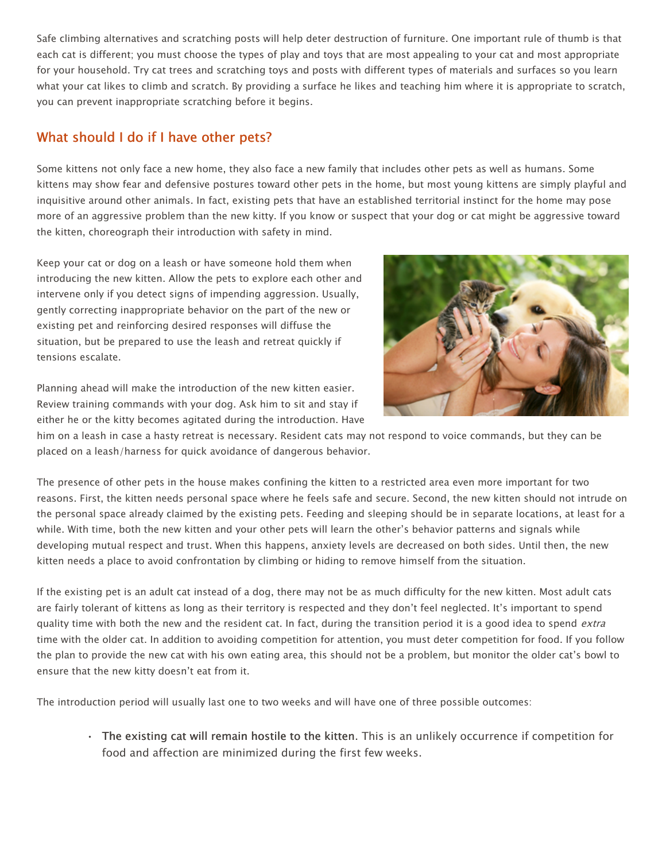Safe climbing alternatives and scratching posts will help deter destruction of furniture. One important rule of thumb is that each cat is different; you must choose the types of play and toys that are most appealing to your cat and most appropriate for your household. Try cat trees and scratching toys and posts with different types of materials and surfaces so you learn what your cat likes to climb and scratch. By providing a surface he likes and teaching him where it is appropriate to scratch, you can prevent inappropriate scratching before it begins.

# What should I do if I have other pets?

Some kittens not only face a new home, they also face a new family that includes other pets as well as humans. Some kittens may show fear and defensive postures toward other pets in the home, but most young kittens are simply playful and inquisitive around other animals. In fact, existing pets that have an established territorial instinct for the home may pose more of an aggressive problem than the new kitty. If you know or suspect that your dog or cat might be aggressive toward the kitten, choreograph their introduction with safety in mind.

Keep your cat or dog on a leash or have someone hold them when introducing the new kitten. Allow the pets to explore each other and intervene only if you detect signs of impending aggression. Usually, gently correcting inappropriate behavior on the part of the new or existing pet and reinforcing desired responses will diffuse the situation, but be prepared to use the leash and retreat quickly if tensions escalate.



Planning ahead will make the introduction of the new kitten easier. Review training commands with your dog. Ask him to sit and stay if either he or the kitty becomes agitated during the introduction. Have

him on a leash in case a hasty retreat is necessary. Resident cats may not respond to voice commands, but they can be placed on a leash/harness for quick avoidance of dangerous behavior.

The presence of other pets in the house makes confining the kitten to a restricted area even more important for two reasons. First, the kitten needs personal space where he feels safe and secure. Second, the new kitten should not intrude on the personal space already claimed by the existing pets. Feeding and sleeping should be in separate locations, at least for a while. With time, both the new kitten and your other pets will learn the other's behavior patterns and signals while developing mutual respect and trust. When this happens, anxiety levels are decreased on both sides. Until then, the new kitten needs a place to avoid confrontation by climbing or hiding to remove himself from the situation.

If the existing pet is an adult cat instead of a dog, there may not be as much difficulty for the new kitten. Most adult cats are fairly tolerant of kittens as long as their territory is respected and they don't feel neglected. It's important to spend quality time with both the new and the resident cat. In fact, during the transition period it is a good idea to spend extra time with the older cat. In addition to avoiding competition for attention, you must deter competition for food. If you follow the plan to provide the new cat with his own eating area, this should not be a problem, but monitor the older cat's bowl to ensure that the new kitty doesn't eat from it.

The introduction period will usually last one to two weeks and will have one of three possible outcomes:

• The existing cat will remain hostile to the kitten. This is an unlikely occurrence if competition for food and affection are minimized during the first few weeks.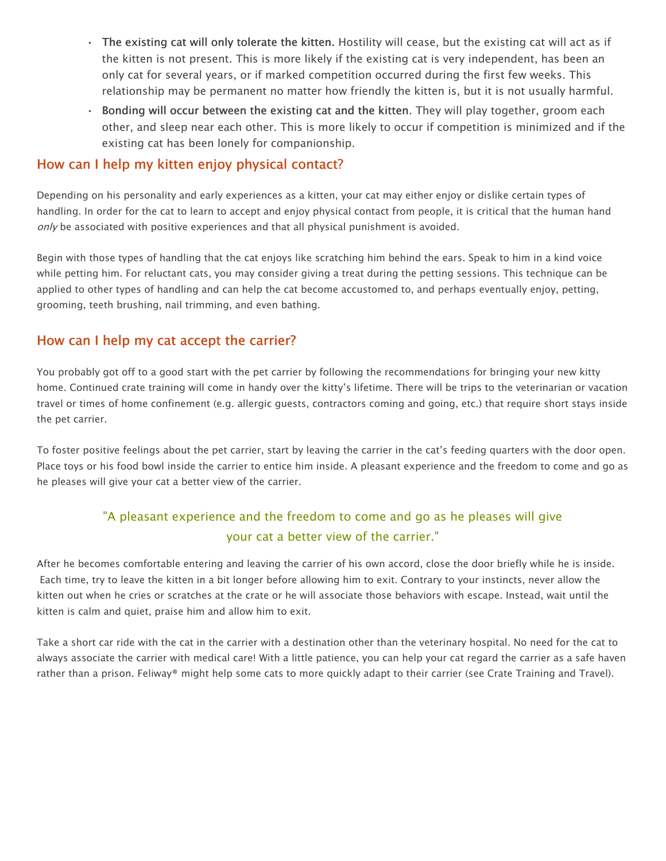- The existing cat will only tolerate the kitten. Hostility will cease, but the existing cat will act as if the kitten is not present. This is more likely if the existing cat is very independent, has been an only cat for several years, or if marked competition occurred during the first few weeks. This relationship may be permanent no matter how friendly the kitten is, but it is not usually harmful.
- Bonding will occur between the existing cat and the kitten. They will play together, groom each other, and sleep near each other. This is more likely to occur if competition is minimized and if the existing cat has been lonely for companionship.

#### How can I help my kitten enjoy physical contact?

Depending on his personality and early experiences as a kitten, your cat may either enjoy or dislike certain types of handling. In order for the cat to learn to accept and enjoy physical contact from people, it is critical that the human hand only be associated with positive experiences and that all physical punishment is avoided.

Begin with those types of handling that the cat enjoys like scratching him behind the ears. Speak to him in a kind voice while petting him. For reluctant cats, you may consider giving a treat during the petting sessions. This technique can be applied to other types of handling and can help the cat become accustomed to, and perhaps eventually enjoy, petting, grooming, teeth brushing, nail trimming, and even bathing.

## How can I help my cat accept the carrier?

You probably got off to a good start with the pet carrier by following the recommendations for bringing your new kitty home. Continued crate training will come in handy over the kitty's lifetime. There will be trips to the veterinarian or vacation travel or times of home confinement (e.g. allergic guests, contractors coming and going, etc.) that require short stays inside the pet carrier.

To foster positive feelings about the pet carrier, start by leaving the carrier in the cat's feeding quarters with the door open. Place toys or his food bowl inside the carrier to entice him inside. A pleasant experience and the freedom to come and go as he pleases will give your cat a better view of the carrier.

# "A pleasant experience and the freedom to come and go as he pleases will give your cat a better view of the carrier."

After he becomes comfortable entering and leaving the carrier of his own accord, close the door briefly while he is inside. Each time, try to leave the kitten in a bit longer before allowing him to exit. Contrary to your instincts, never allow the kitten out when he cries or scratches at the crate or he will associate those behaviors with escape. Instead, wait until the kitten is calm and quiet, praise him and allow him to exit.

Take a short car ride with the cat in the carrier with a destination other than the veterinary hospital. No need for the cat to always associate the carrier with medical care! With a little patience, you can help your cat regard the carrier as a safe haven rather than a prison. Feliway® might help some cats to more quickly adapt to their carrier (see Crate Training and Travel).